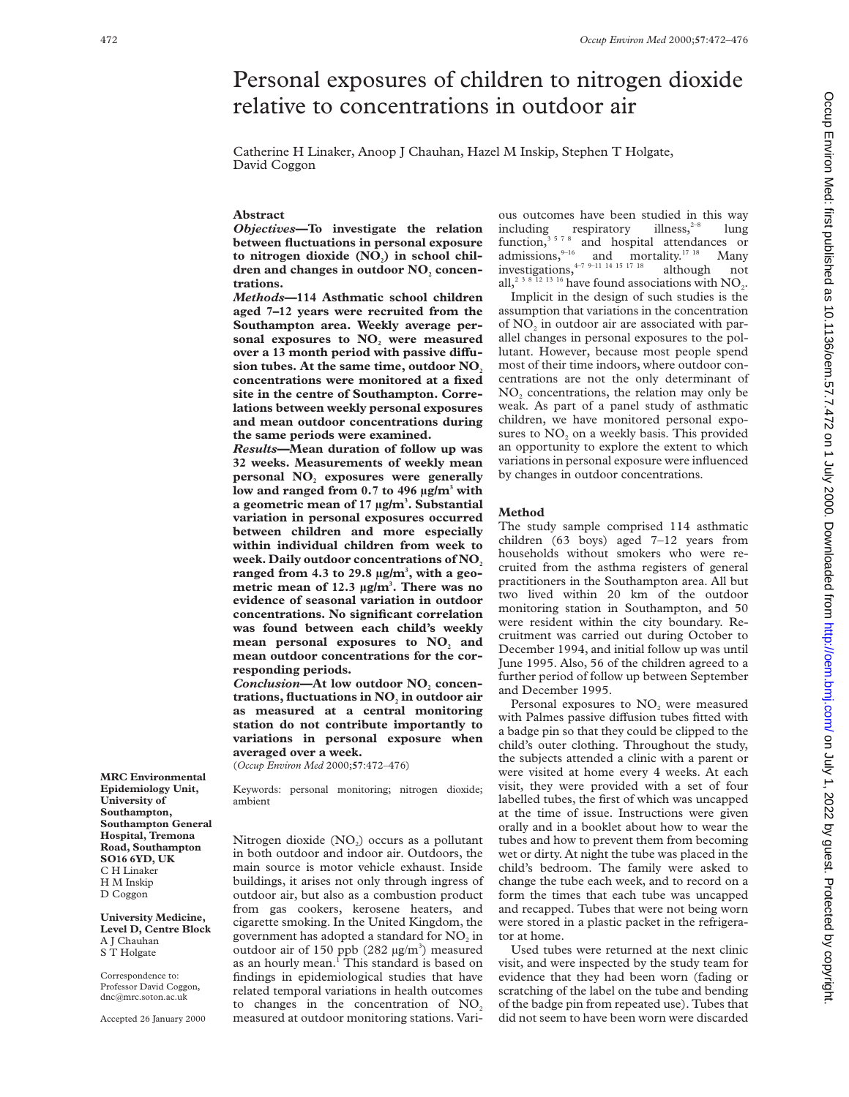# Personal exposures of children to nitrogen dioxide relative to concentrations in outdoor air

Catherine H Linaker, Anoop J Chauhan, Hazel M Inskip, Stephen T Holgate, David Coggon

## **Abstract**

*Objectives***—To investigate the relation between fluctuations in personal exposure** to nitrogen dioxide (NO<sub>2</sub>) in school children and changes in outdoor NO<sub>2</sub> concen**trations.**

*Methods***—114 Asthmatic school children aged 7–12 years were recruited from the Southampton area. Weekly average per**sonal exposures to NO<sub>2</sub> were measured over a 13 month period with passive diffusion tubes. At the same time, outdoor NO<sub>2</sub> **concentrations were monitored at a fixed site in the centre of Southampton. Correlations between weekly personal exposures and mean outdoor concentrations during the same periods were examined.**

*Results***—Mean duration of follow up was 32 weeks. Measurements of weekly mean** personal NO<sub>2</sub> exposures were generally **low and ranged from 0.7 to 496 µg/m3 with a geometric mean of 17 µg/m3 . Substantial variation in personal exposures occurred between children and more especially within individual children from week to** week. Daily outdoor concentrations of NO<sub>2</sub> **ranged from 4.3 to 29.8 µg/m3 , with a geometric mean of 12.3 µg/m3 . There was no evidence of seasonal variation in outdoor concentrations. No significant correlation was found between each child's weekly** mean personal exposures to NO<sub>2</sub> and **mean outdoor concentrations for the corresponding periods.**

**Conclusion-At low outdoor NO**, concen**trations, fluctuations in NO**, in outdoor air **as measured at a central monitoring station do not contribute importantly to variations in personal exposure when averaged over a week.**

(*Occup Environ Med* 2000;**57**:472–476)

Keywords: personal monitoring; nitrogen dioxide; ambient

Nitrogen dioxide  $(NO<sub>2</sub>)$  occurs as a pollutant in both outdoor and indoor air. Outdoors, the main source is motor vehicle exhaust. Inside buildings, it arises not only through ingress of outdoor air, but also as a combustion product from gas cookers, kerosene heaters, and cigarette smoking. In the United Kingdom, the government has adopted a standard for NO<sub>2</sub> in outdoor air of 150 ppb  $(282 \text{ µg/m}^3)$  measured as an hourly mean.<sup>1</sup> This standard is based on findings in epidemiological studies that have related temporal variations in health outcomes to changes in the concentration of  $NO<sub>2</sub>$ measured at outdoor monitoring stations. Vari-

ous outcomes have been studied in this way<br>including respiratory illness, <sup>2-8</sup> lung including respiratory illness,<sup>2–8</sup> lung function,<sup>3578</sup> and hospital attendances or admissions,  $9-16$  and mortality.<sup>17 18</sup> Many investigations,  $4-7$  9–11 14 15 17 18 although not all,<sup>2 3 8</sup> 12 <sup>13</sup> <sup>16</sup> have found associations with  $NO<sub>2</sub>$ .

Implicit in the design of such studies is the assumption that variations in the concentration of NO<sub>2</sub> in outdoor air are associated with parallel changes in personal exposures to the pollutant. However, because most people spend most of their time indoors, where outdoor concentrations are not the only determinant of NO<sub>2</sub> concentrations, the relation may only be weak. As part of a panel study of asthmatic children, we have monitored personal exposures to  $NO<sub>2</sub>$  on a weekly basis. This provided an opportunity to explore the extent to which variations in personal exposure were influenced by changes in outdoor concentrations.

#### **Method**

The study sample comprised 114 asthmatic children (63 boys) aged 7–12 years from households without smokers who were recruited from the asthma registers of general practitioners in the Southampton area. All but two lived within 20 km of the outdoor monitoring station in Southampton, and 50 were resident within the city boundary. Recruitment was carried out during October to December 1994, and initial follow up was until June 1995. Also, 56 of the children agreed to a further period of follow up between September and December 1995.

Personal exposures to NO<sub>2</sub> were measured with Palmes passive diffusion tubes fitted with a badge pin so that they could be clipped to the child's outer clothing. Throughout the study, the subjects attended a clinic with a parent or were visited at home every 4 weeks. At each visit, they were provided with a set of four labelled tubes, the first of which was uncapped at the time of issue. Instructions were given orally and in a booklet about how to wear the tubes and how to prevent them from becoming wet or dirty. At night the tube was placed in the child's bedroom. The family were asked to change the tube each week, and to record on a form the times that each tube was uncapped and recapped. Tubes that were not being worn were stored in a plastic packet in the refrigerator at home.

Used tubes were returned at the next clinic visit, and were inspected by the study team for evidence that they had been worn (fading or scratching of the label on the tube and bending of the badge pin from repeated use). Tubes that did not seem to have been worn were discarded

**MRC Environmental Epidemiology Unit, University of Southampton, Southampton General Hospital, Tremona Road, Southampton SO16 6YD, UK** C H Linaker H M Inskip D Coggon

**University Medicine, Level D, Centre Block** A J Chauhan S T Holgate

Correspondence to: Professor David Coggon, dnc@mrc.soton.ac.uk

Accepted 26 January 2000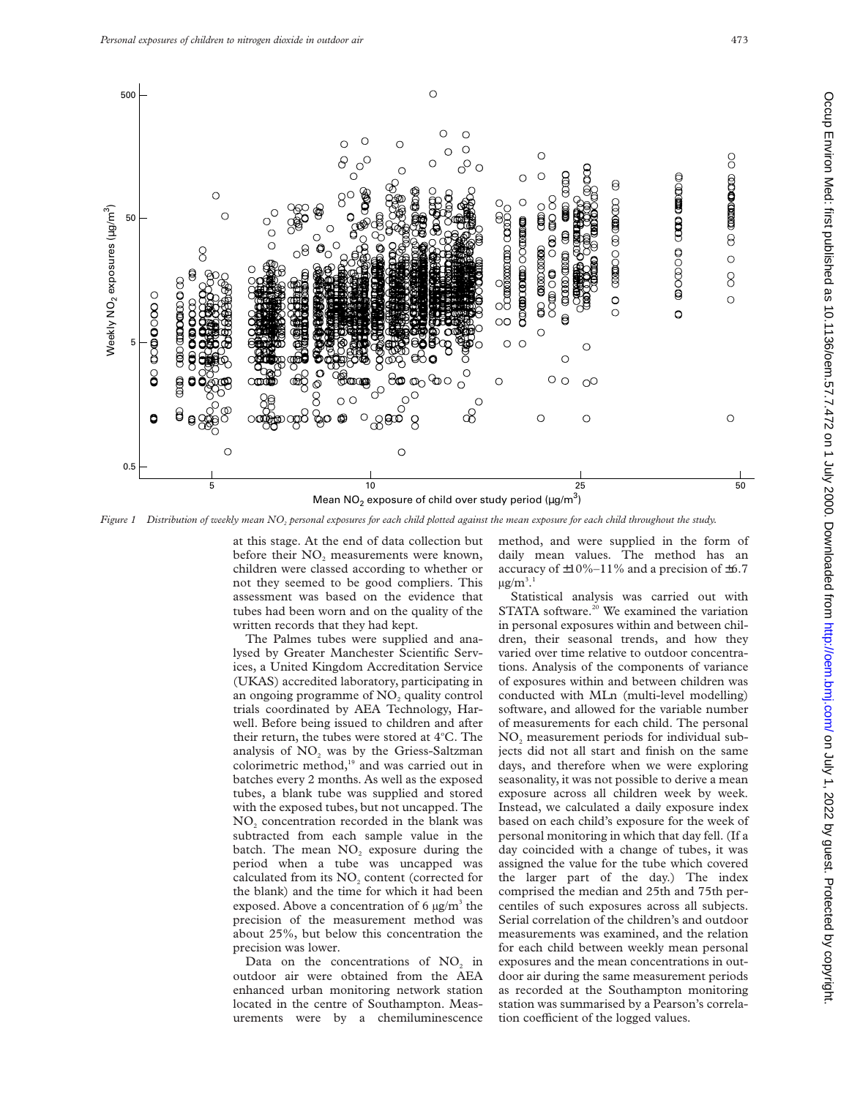

*Figure 1 Distribution of weekly mean NO2 personal exposures for each child plotted against the mean exposure for each child throughout the study.*

at this stage. At the end of data collection but before their  $NO<sub>2</sub>$  measurements were known, children were classed according to whether or not they seemed to be good compliers. This assessment was based on the evidence that tubes had been worn and on the quality of the written records that they had kept.

The Palmes tubes were supplied and analysed by Greater Manchester Scientific Services, a United Kingdom Accreditation Service (UKAS) accredited laboratory, participating in an ongoing programme of  $NO<sub>2</sub>$  quality control trials coordinated by AEA Technology, Harwell. Before being issued to children and after their return, the tubes were stored at 4°C. The analysis of  $NO<sub>2</sub>$  was by the Griess-Saltzman colorimetric method,<sup>19</sup> and was carried out in batches every 2 months. As well as the exposed tubes, a blank tube was supplied and stored with the exposed tubes, but not uncapped. The NO<sub>2</sub> concentration recorded in the blank was subtracted from each sample value in the batch. The mean  $NO<sub>2</sub>$  exposure during the period when a tube was uncapped was calculated from its NO<sub>2</sub> content (corrected for the blank) and the time for which it had been exposed. Above a concentration of 6  $\mu$ g/m<sup>3</sup> the precision of the measurement method was about 25%, but below this concentration the precision was lower.

Data on the concentrations of NO<sub>2</sub> in outdoor air were obtained from the AEA enhanced urban monitoring network station located in the centre of Southampton. Measurements were by a chemiluminescence method, and were supplied in the form of daily mean values. The method has an accuracy of  $\pm 10\% - 11\%$  and a precision of  $\pm 6.7$  $\mu$ g/m $^3.1$ 

Statistical analysis was carried out with STATA software.<sup>20</sup> We examined the variation in personal exposures within and between children, their seasonal trends, and how they varied over time relative to outdoor concentrations. Analysis of the components of variance of exposures within and between children was conducted with MLn (multi-level modelling) software, and allowed for the variable number of measurements for each child. The personal  $NO<sub>2</sub>$  measurement periods for individual subjects did not all start and finish on the same days, and therefore when we were exploring seasonality, it was not possible to derive a mean exposure across all children week by week. Instead, we calculated a daily exposure index based on each child's exposure for the week of personal monitoring in which that day fell. (If a day coincided with a change of tubes, it was assigned the value for the tube which covered the larger part of the day.) The index comprised the median and 25th and 75th percentiles of such exposures across all subjects. Serial correlation of the children's and outdoor measurements was examined, and the relation for each child between weekly mean personal exposures and the mean concentrations in outdoor air during the same measurement periods as recorded at the Southampton monitoring station was summarised by a Pearson's correlation coefficient of the logged values.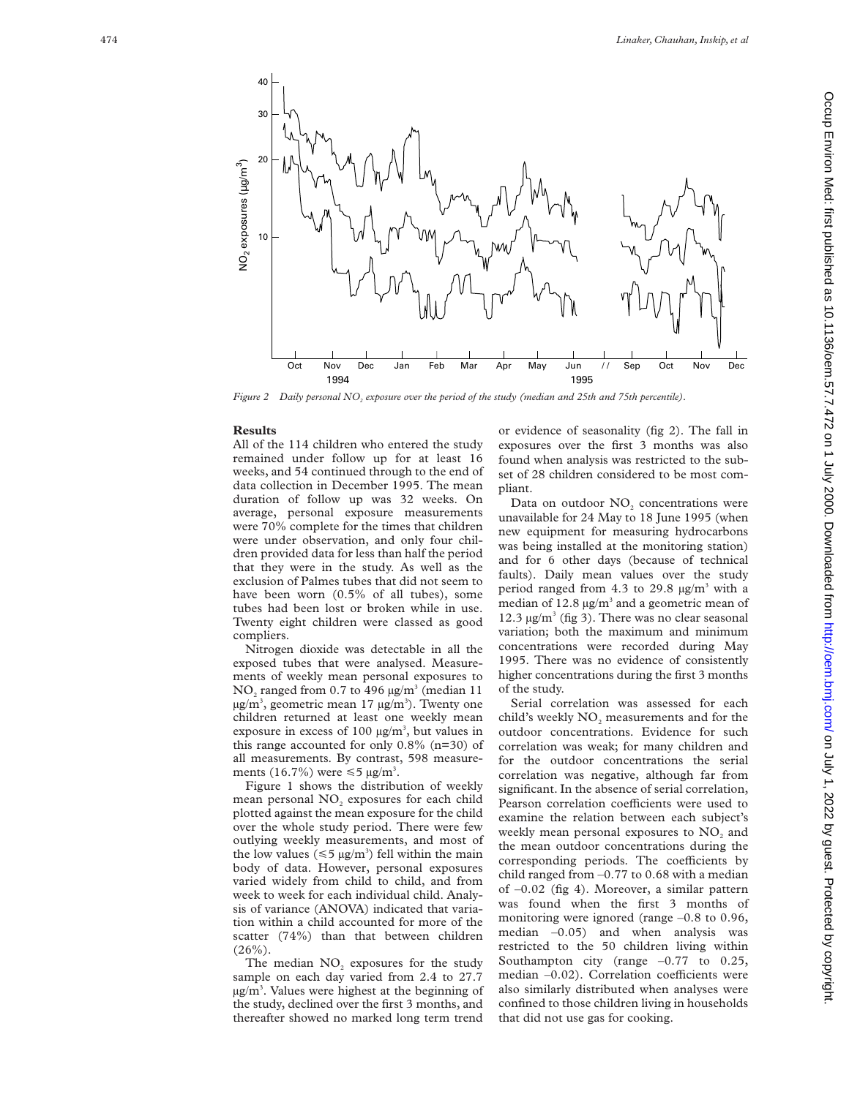

*Figure 2 Daily personal NO <sup>2</sup> exposure over the period of the study (median and 25th and 75th percentile).*

### **Results**

All of the 114 children who entered the study remained under follow up for at least 16 weeks, and 54 continued through to the end of data collection in December 1995. The mean duration of follow up was 32 weeks. On average, personal exposure measurements were 70% complete for the times that children were under observation, and only four children provided data for less than half the period that they were in the study. As well as the exclusion of Palmes tubes that did not seem to have been worn (0.5% of all tubes), some tubes had been lost or broken while in use. Twenty eight children were classed as good compliers.

Nitrogen dioxide was detectable in all the exposed tubes that were analysed. Measurements of weekly mean personal exposures to  $NO<sub>2</sub>$  ranged from 0.7 to 496  $\mu$ g/m<sup>3</sup> (median 11 µg/m<sup>3</sup>, geometric mean 17 µg/m<sup>3</sup>). Twenty one children returned at least one weekly mean exposure in excess of 100  $\mu$ g/m<sup>3</sup>, but values in this range accounted for only  $0.8\%$  (n=30) of all measurements. By contrast, 598 measurements (16.7%) were  $\leq 5 \text{ µg/m}^3$ .

Figure 1 shows the distribution of weekly mean personal NO <sup>2</sup> exposures for each child plotted against the mean exposure for the child over the whole study period. There were few outlying weekly measurements, and most of the low values ( $\leq 5 \mu g/m^3$ ) fell within the main body of data. However, personal exposures varied widely from child to child, and from week to week for each individual child. Analysis of variance (ANOVA) indicated that variation within a child accounted for more of the scatter (74%) than that between children  $(26\%)$ .

The median NO <sup>2</sup> exposures for the study sample on each day varied from 2.4 to 27.7 µg/m 3 . Values were highest at the beginning of the study, declined over the first 3 months, and thereafter showed no marked long term trend or evidence of seasonality (fig 2). The fall in exposures over the first 3 months was also found when analysis was restricted to the subset of 28 children considered to be most compliant.

Data on outdoor NO <sup>2</sup> concentrations were unavailable for 24 May to 18 June 1995 (when new equipment for measuring hydrocarbons was being installed at the monitoring station) and for 6 other days (because of technical faults). Daily mean values over the study period ranged from 4.3 to 29.8  $\mu$ g/m<sup>3</sup> with a median of  $12.8 \,\mathrm{\upmu g/m^3}$  and a geometric mean of 12.3 µg/m <sup>3</sup> (fig 3). There was no clear seasonal variation; both the maximum and minimum concentrations were recorded during May 1995. There was no evidence of consistently higher concentrations during the first 3 months of the study.

Serial correlation was assessed for each child's weekly  $NO<sub>2</sub>$  measurements and for the outdoor concentrations. Evidence for such correlation was weak; for many children and for the outdoor concentrations the serial correlation was negative, although far from significant. In the absence of serial correlation, Pearson correlation coefficients were used to examine the relation between each subject's weekly mean personal exposures to  $NO<sub>2</sub>$  and the mean outdoor concentrations during the corresponding periods. The coefficients by child ranged from –0.77 to 0.68 with a median of –0.02 (fig 4). Moreover, a similar pattern was found when the first 3 months of monitoring were ignored (range –0.8 to 0.96, median  $-0.05$ ) and when analysis was restricted to the 50 children living within Southampton city (range  $-0.77$  to 0.25, median -0.02). Correlation coefficients were also similarly distributed when analyses were confined to those children living in households that did not use gas for cooking.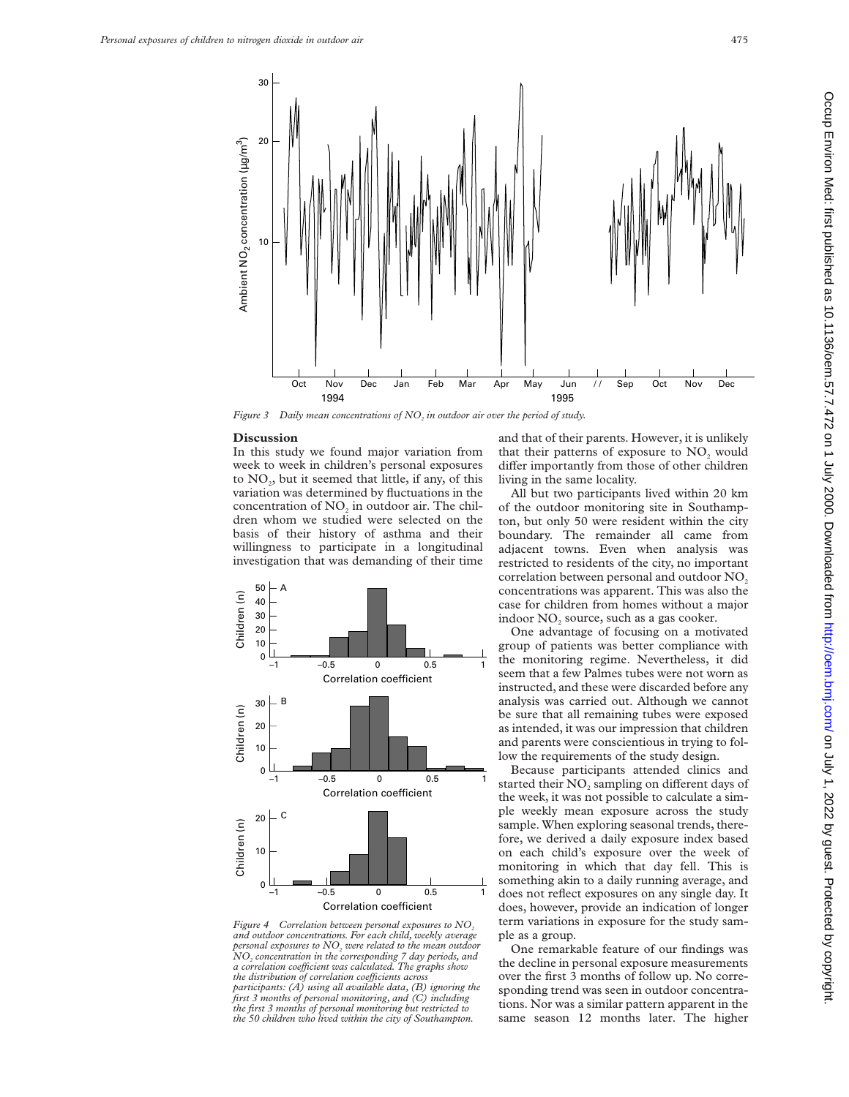

*Figure 3* Daily mean concentrations of NO<sub>2</sub> in outdoor air over the period of study.

#### **Discussion**

In this study we found major variation from week to week in children's personal exposures to  $NO<sub>2</sub>$ , but it seemed that little, if any, of this variation was determined by fluctuations in the concentration of  $NO<sub>2</sub>$  in outdoor air. The children whom we studied were selected on the basis of their history of asthma and their willingness to participate in a longitudinal investigation that was demanding of their time



*Figure 4 Correlation between personal exposures to NO<sub>2</sub> and outdoor concentrations. For each child, weekly average personal exposures to NO<sub>2</sub> were related to the mean outdoor NO2 concentration in the corresponding 7 day periods, and a correlation coeYcient was calculated. The graphs show the distribution of correlation coefficients across participants: (A) using all available data, (B) ignoring the first 3 months of personal monitoring, and (C) including the first 3 months of personal monitoring but restricted to the 50 children who lived within the city of Southampton.*

and that of their parents. However, it is unlikely that their patterns of exposure to NO<sub>2</sub> would differ importantly from those of other children living in the same locality.

All but two participants lived within 20 km of the outdoor monitoring site in Southampton, but only 50 were resident within the city boundary. The remainder all came from adjacent towns. Even when analysis was restricted to residents of the city, no important correlation between personal and outdoor NO<sub>2</sub> concentrations was apparent. This was also the case for children from homes without a major indoor NO<sub>2</sub> source, such as a gas cooker.

One advantage of focusing on a motivated group of patients was better compliance with the monitoring regime. Nevertheless, it did seem that a few Palmes tubes were not worn as instructed, and these were discarded before any analysis was carried out. Although we cannot be sure that all remaining tubes were exposed as intended, it was our impression that children and parents were conscientious in trying to follow the requirements of the study design.

Because participants attended clinics and started their NO<sub>2</sub> sampling on different days of the week, it was not possible to calculate a simple weekly mean exposure across the study sample. When exploring seasonal trends, therefore, we derived a daily exposure index based on each child's exposure over the week of monitoring in which that day fell. This is something akin to a daily running average, and does not reflect exposures on any single day. It does, however, provide an indication of longer term variations in exposure for the study sample as a group.

One remarkable feature of our findings was the decline in personal exposure measurements over the first 3 months of follow up. No corresponding trend was seen in outdoor concentrations. Nor was a similar pattern apparent in the same season 12 months later. The higher